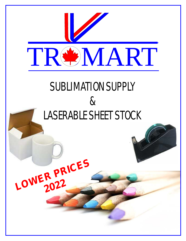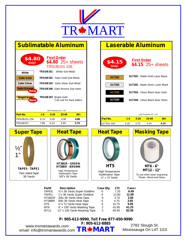

#### High Temperature Sublimation Tape ½" x 72 Yards To use when laser engraving Plastic, Wood and Glass **TRSUB101** - White Sub Metal **TRSUB102** - Satin Gold Sub Metal **TRSUB103** - Satin Silver Sub Metal **Sublimatable Aluminum First Order** TRSUB101-106 **\$4.80** 25+ sheets **\$4.80 Only! TRSUB106**- Satin Bronze Sub meta **TRSUB107**- Bright Gold Can use for back plates **New New ULT201** - Matte Gold Laser Black **ULT202** - Matte Silver Laser Black **ULT203** - Gloss Black laser Gold **Laserable Aluminum First Order \$4.15 \$4.15 \$4.15 £1.15 \$4.15 25+** sheets **Only! ULT204** - Gloss Black laser Silver **ULT201 ULT202 ULT203 ULT204** TRSUB101-106 6.15 5.05 4.99 **4.80** TRSUB107 7.99 6.10 5.85 **5.75 Part No. 1-4 5-24 25-49 50+** ULT201-204 5.25 4.75 4.25 **4.15 Part No. 1-4 5-24 25-49 50+** High Temperature Sublimation Tape 3/8"x 36 Yards **White Satin Gold Satin Silver Satin Bronze Bright Gold** .020 Thickness 12" x 24" .020 Thickness 12" x 24" Two sided tape 36 Yards  $\frac{1}{2}$ " 1" **TAPE5 - TAPE1 Super Tape | | Heat Tape | | Heat Tape | | Masking Tape HT38GR - GREEN HT38BR - BROWN MT6 - 6" MT12 - 12" HT5**

| Part#  | <b>Description</b>            | Case Qty. | <b>LTC</b> | Case+ |
|--------|-------------------------------|-----------|------------|-------|
| TAPE5  | 1/2"x 36 Yards Super Goldline | 6         | 7.25       | 6.49  |
| TAPE1  | 1"x 36 Yards Super Goldline   | 6         | 13.90      | 11.99 |
| HT38GR | 3/8x 36 Yards Heat Tape       | 6         | 4.75       | 3.95  |
| HT38BR | 3/8x 36 Yards Heat Tape       | 6         | 4.75       | 3.95  |
| HT5    | 1/2"x 72 Yards Heat Tape      | 6         | 10.75      | 9.95  |
| MT6    | 6" x 100 Yards Masking Tape   | 2         | 42.85      | 41.25 |
| MT12   | 12" x 100 Yards Masking Tape  | 2         | 84.00      | 82.50 |
|        |                               |           |            |       |

**P: 905-612-9990, Toll Free 877-450-9990 F: 905-612-8885**

www.tromartawards.com email: info@tromartawards.com **TROMART** 

2782 Slough St. Mississauga On L4T 1G3